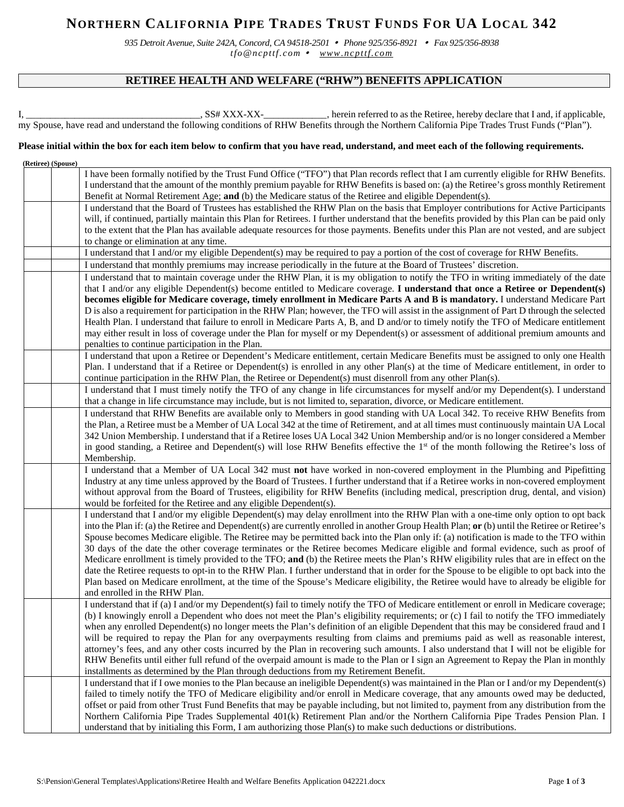# **NORTHERN CALIFORNIA PIPE TRADES TRUST FUNDS FOR UA LOCAL 342**

*935 Detroit Avenue, Suite 242A, Concord, CA 94518-2501 Phone 925/356-8921 Fax 925/356-8938 tfo@ncpttf.com [www.ncpttf.com](http://www.ncpttf.com/)*

# **RETIREE HEALTH AND WELFARE ("RHW") BENEFITS APPLICATION**

I, \_\_\_\_\_\_\_\_\_\_\_\_\_\_\_\_\_\_\_\_\_\_\_\_\_\_\_\_\_\_\_\_\_\_\_\_, SS# XXX-XX-\_\_\_\_\_\_\_\_\_\_\_\_\_, herein referred to as the Retiree, hereby declare that I and, if applicable, my Spouse, have read and understand the following conditions of RHW Benefits through the Northern California Pipe Trades Trust Funds ("Plan").

### **Please initial within the box for each item below to confirm that you have read, understand, and meet each of the following requirements.**

| (Retiree) (Spouse) |                                                                                                                                                                                                                                                                                                                                                                                                                                                                              |
|--------------------|------------------------------------------------------------------------------------------------------------------------------------------------------------------------------------------------------------------------------------------------------------------------------------------------------------------------------------------------------------------------------------------------------------------------------------------------------------------------------|
|                    | I have been formally notified by the Trust Fund Office ("TFO") that Plan records reflect that I am currently eligible for RHW Benefits.<br>I understand that the amount of the monthly premium payable for RHW Benefits is based on: (a) the Retiree's gross monthly Retirement                                                                                                                                                                                              |
|                    | Benefit at Normal Retirement Age; and (b) the Medicare status of the Retiree and eligible Dependent(s).                                                                                                                                                                                                                                                                                                                                                                      |
|                    | I understand that the Board of Trustees has established the RHW Plan on the basis that Employer contributions for Active Participants                                                                                                                                                                                                                                                                                                                                        |
|                    | will, if continued, partially maintain this Plan for Retirees. I further understand that the benefits provided by this Plan can be paid only                                                                                                                                                                                                                                                                                                                                 |
|                    | to the extent that the Plan has available adequate resources for those payments. Benefits under this Plan are not vested, and are subject                                                                                                                                                                                                                                                                                                                                    |
|                    | to change or elimination at any time.                                                                                                                                                                                                                                                                                                                                                                                                                                        |
|                    | I understand that I and/or my eligible Dependent(s) may be required to pay a portion of the cost of coverage for RHW Benefits.                                                                                                                                                                                                                                                                                                                                               |
|                    | I understand that monthly premiums may increase periodically in the future at the Board of Trustees' discretion.                                                                                                                                                                                                                                                                                                                                                             |
|                    | I understand that to maintain coverage under the RHW Plan, it is my obligation to notify the TFO in writing immediately of the date                                                                                                                                                                                                                                                                                                                                          |
|                    | that I and/or any eligible Dependent(s) become entitled to Medicare coverage. I understand that once a Retiree or Dependent(s)<br>becomes eligible for Medicare coverage, timely enrollment in Medicare Parts A and B is mandatory. I understand Medicare Part                                                                                                                                                                                                               |
|                    | D is also a requirement for participation in the RHW Plan; however, the TFO will assist in the assignment of Part D through the selected<br>Health Plan. I understand that failure to enroll in Medicare Parts A, B, and D and/or to timely notify the TFO of Medicare entitlement<br>may either result in loss of coverage under the Plan for myself or my Dependent(s) or assessment of additional premium amounts and<br>penalties to continue participation in the Plan. |
|                    | I understand that upon a Retiree or Dependent's Medicare entitlement, certain Medicare Benefits must be assigned to only one Health<br>Plan. I understand that if a Retiree or Dependent(s) is enrolled in any other Plan(s) at the time of Medicare entitlement, in order to<br>continue participation in the RHW Plan, the Retiree or Dependent(s) must disenroll from any other Plan(s).                                                                                  |
|                    | I understand that I must timely notify the TFO of any change in life circumstances for myself and/or my Dependent(s). I understand<br>that a change in life circumstance may include, but is not limited to, separation, divorce, or Medicare entitlement.                                                                                                                                                                                                                   |
|                    | I understand that RHW Benefits are available only to Members in good standing with UA Local 342. To receive RHW Benefits from                                                                                                                                                                                                                                                                                                                                                |
|                    | the Plan, a Retiree must be a Member of UA Local 342 at the time of Retirement, and at all times must continuously maintain UA Local                                                                                                                                                                                                                                                                                                                                         |
|                    | 342 Union Membership. I understand that if a Retiree loses UA Local 342 Union Membership and/or is no longer considered a Member                                                                                                                                                                                                                                                                                                                                             |
|                    | in good standing, a Retiree and Dependent(s) will lose RHW Benefits effective the $1st$ of the month following the Retiree's loss of                                                                                                                                                                                                                                                                                                                                         |
|                    | Membership.                                                                                                                                                                                                                                                                                                                                                                                                                                                                  |
|                    | I understand that a Member of UA Local 342 must not have worked in non-covered employment in the Plumbing and Pipefitting                                                                                                                                                                                                                                                                                                                                                    |
|                    | Industry at any time unless approved by the Board of Trustees. I further understand that if a Retiree works in non-covered employment                                                                                                                                                                                                                                                                                                                                        |
|                    | without approval from the Board of Trustees, eligibility for RHW Benefits (including medical, prescription drug, dental, and vision)                                                                                                                                                                                                                                                                                                                                         |
|                    | would be forfeited for the Retiree and any eligible Dependent(s).                                                                                                                                                                                                                                                                                                                                                                                                            |
|                    | I understand that I and/or my eligible Dependent(s) may delay enrollment into the RHW Plan with a one-time only option to opt back<br>into the Plan if: (a) the Retiree and Dependent(s) are currently enrolled in another Group Health Plan; or (b) until the Retiree or Retiree's<br>Spouse becomes Medicare eligible. The Retiree may be permitted back into the Plan only if: (a) notification is made to the TFO within                                                 |
|                    | 30 days of the date the other coverage terminates or the Retiree becomes Medicare eligible and formal evidence, such as proof of<br>Medicare enrollment is timely provided to the TFO; and (b) the Retiree meets the Plan's RHW eligibility rules that are in effect on the                                                                                                                                                                                                  |
|                    | date the Retiree requests to opt-in to the RHW Plan. I further understand that in order for the Spouse to be eligible to opt back into the                                                                                                                                                                                                                                                                                                                                   |
|                    | Plan based on Medicare enrollment, at the time of the Spouse's Medicare eligibility, the Retiree would have to already be eligible for                                                                                                                                                                                                                                                                                                                                       |
|                    | and enrolled in the RHW Plan.                                                                                                                                                                                                                                                                                                                                                                                                                                                |
|                    | I understand that if (a) I and/or my Dependent(s) fail to timely notify the TFO of Medicare entitlement or enroll in Medicare coverage;                                                                                                                                                                                                                                                                                                                                      |
|                    | (b) I knowingly enroll a Dependent who does not meet the Plan's eligibility requirements; or (c) I fail to notify the TFO immediately                                                                                                                                                                                                                                                                                                                                        |
|                    | when any enrolled Dependent(s) no longer meets the Plan's definition of an eligible Dependent that this may be considered fraud and I                                                                                                                                                                                                                                                                                                                                        |
|                    | will be required to repay the Plan for any overpayments resulting from claims and premiums paid as well as reasonable interest,                                                                                                                                                                                                                                                                                                                                              |
|                    | attorney's fees, and any other costs incurred by the Plan in recovering such amounts. I also understand that I will not be eligible for                                                                                                                                                                                                                                                                                                                                      |
|                    | RHW Benefits until either full refund of the overpaid amount is made to the Plan or I sign an Agreement to Repay the Plan in monthly                                                                                                                                                                                                                                                                                                                                         |
|                    | installments as determined by the Plan through deductions from my Retirement Benefit.                                                                                                                                                                                                                                                                                                                                                                                        |
|                    | I understand that if I owe monies to the Plan because an ineligible Dependent(s) was maintained in the Plan or I and/or my Dependent(s)                                                                                                                                                                                                                                                                                                                                      |
|                    | failed to timely notify the TFO of Medicare eligibility and/or enroll in Medicare coverage, that any amounts owed may be deducted,<br>offset or paid from other Trust Fund Benefits that may be payable including, but not limited to, payment from any distribution from the<br>Northern California Pipe Trades Supplemental 401(k) Retirement Plan and/or the Northern California Pipe Trades Pension Plan. I                                                              |
|                    | understand that by initialing this Form, I am authorizing those Plan(s) to make such deductions or distributions.                                                                                                                                                                                                                                                                                                                                                            |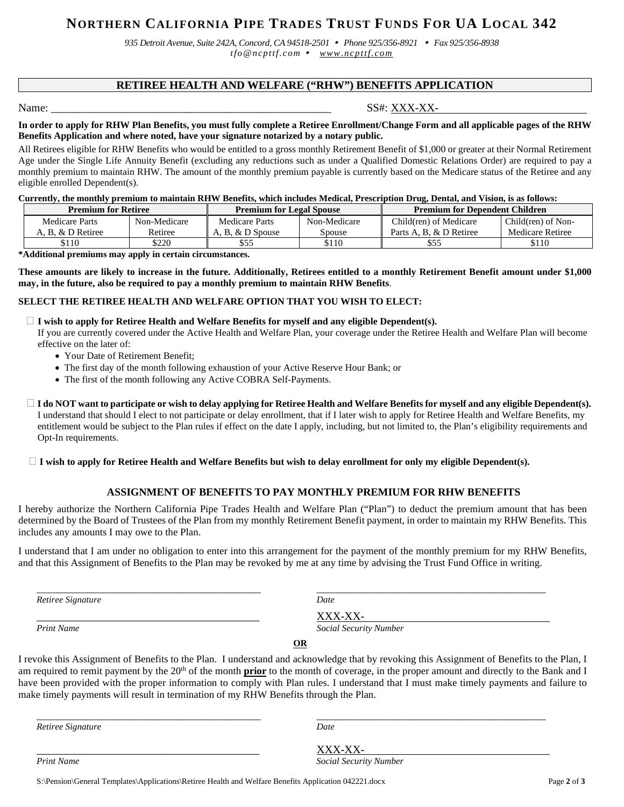# **NORTHERN CALIFORNIA PIPE TRADES TRUST FUNDS FOR UA LOCAL 342**

*935 Detroit Avenue, Suite 242A, Concord, CA 94518-2501 Phone 925/356-8921 Fax 925/356-8938 tfo@ncpttf.com [www.ncpttf.com](http://www.ncpttf.com/)*

## **RETIREE HEALTH AND WELFARE ("RHW") BENEFITS APPLICATION**

## Name:  $SS\# : XXX-XX-$

#### **In order to apply for RHW Plan Benefits, you must fully complete a Retiree Enrollment/Change Form and all applicable pages of the RHW Benefits Application and where noted, have your signature notarized by a notary public.**

All Retirees eligible for RHW Benefits who would be entitled to a gross monthly Retirement Benefit of \$1,000 or greater at their Normal Retirement Age under the Single Life Annuity Benefit (excluding any reductions such as under a Qualified Domestic Relations Order) are required to pay a monthly premium to maintain RHW. The amount of the monthly premium payable is currently based on the Medicare status of the Retiree and any eligible enrolled Dependent(s).

#### **Currently, the monthly premium to maintain RHW Benefits, which includes Medical, Prescription Drug, Dental, and Vision, is as follows:**

| <b>Premium for Retiree</b> |              | <b>Premium for Legal Spouse</b> |              | <b>Premium for Dependent Children</b> |                    |
|----------------------------|--------------|---------------------------------|--------------|---------------------------------------|--------------------|
| Medicare Parts             | Non-Medicare | Medicare Parts                  | Non-Medicare | Child(ren) of Medicare                | Child(ren) of Non- |
| A. B. & D Retiree          | Retiree      | A. B. & D Spouse                | Spouse       | Parts A. B. & D Retiree               | Medicare Retiree   |
| \$110                      | \$220        |                                 | \$110        | \$55                                  | \$110              |

**\*Additional premiums may apply in certain circumstances.**

**These amounts are likely to increase in the future. Additionally, Retirees entitled to a monthly Retirement Benefit amount under \$1,000 may, in the future, also be required to pay a monthly premium to maintain RHW Benefits**.

#### **SELECT THE RETIREE HEALTH AND WELFARE OPTION THAT YOU WISH TO ELECT:**

#### **I wish to apply for Retiree Health and Welfare Benefits for myself and any eligible Dependent(s).**

 If you are currently covered under the Active Health and Welfare Plan, your coverage under the Retiree Health and Welfare Plan will become effective on the later of:

- Your Date of Retirement Benefit:
- The first day of the month following exhaustion of your Active Reserve Hour Bank; or
- The first of the month following any Active COBRA Self-Payments.
- **I do NOT want to participate or wish to delay applying for Retiree Health and Welfare Benefits for myself and any eligible Dependent(s).** I understand that should I elect to not participate or delay enrollment, that if I later wish to apply for Retiree Health and Welfare Benefits, my entitlement would be subject to the Plan rules if effect on the date I apply, including, but not limited to, the Plan's eligibility requirements and Opt-In requirements.

#### **I wish to apply for Retiree Health and Welfare Benefits but wish to delay enrollment for only my eligible Dependent(s).**

### **ASSIGNMENT OF BENEFITS TO PAY MONTHLY PREMIUM FOR RHW BENEFITS**

I hereby authorize the Northern California Pipe Trades Health and Welfare Plan ("Plan") to deduct the premium amount that has been determined by the Board of Trustees of the Plan from my monthly Retirement Benefit payment, in order to maintain my RHW Benefits. This includes any amounts I may owe to the Plan.

I understand that I am under no obligation to enter into this arrangement for the payment of the monthly premium for my RHW Benefits, and that this Assignment of Benefits to the Plan may be revoked by me at any time by advising the Trust Fund Office in writing.

*Retiree Signature Date*

\_\_\_\_\_\_\_\_\_\_\_\_\_\_\_\_\_\_\_\_\_\_\_\_\_\_\_\_\_\_\_\_\_\_\_\_\_\_\_\_\_\_\_\_ \_\_\_\_\_\_\_\_\_\_\_\_\_\_\_\_\_\_\_\_\_\_\_\_\_\_\_\_\_\_\_\_\_\_\_\_\_\_\_\_\_\_\_\_\_

Print Name  $\frac{XXX-XX}{Social\;Secial\;Secur1}$ *Print Name Social Security Number*

*Print Name Social Security Number*

**OR**

I revoke this Assignment of Benefits to the Plan. I understand and acknowledge that by revoking this Assignment of Benefits to the Plan, I am required to remit payment by the 20<sup>th</sup> of the month **prior** to the month of coverage, in the proper amount and directly to the Bank and I have been provided with the proper information to comply with Plan rules. I understand that I must make timely payments and failure to make timely payments will result in termination of my RHW Benefits through the Plan.

\_\_\_\_\_\_\_\_\_\_\_\_\_\_\_\_\_\_\_\_\_\_\_\_\_\_\_\_\_\_\_\_\_\_\_\_\_\_\_\_\_\_\_\_ \_\_\_\_\_\_\_\_\_\_\_\_\_\_\_\_\_\_\_\_\_\_\_\_\_\_\_\_\_\_\_\_\_\_\_\_\_\_\_\_\_\_\_\_\_

*Retiree Signature Date*

 $\frac{XXX-XX}{Social}$ <br>Print Name Social Securi

S:\Pension\General Templates\Applications\Retiree Health and Welfare Benefits Application 042221.docx Page **2** of **3**